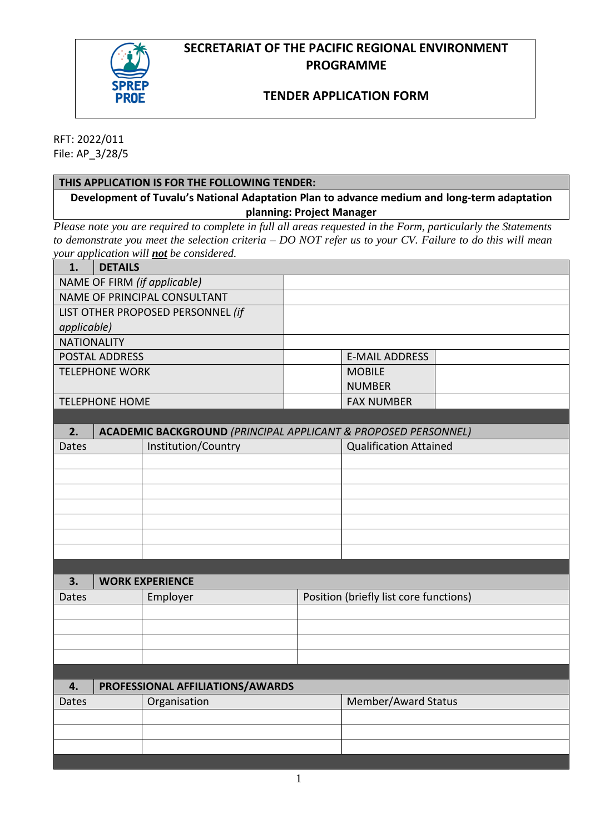## **SECRETARIAT OF THE PACIFIC REGIONAL ENVIRONMENT PROGRAMME**



### **TENDER APPLICATION FORM**

RFT: 2022/011 File: AP\_3/28/5

### **THIS APPLICATION IS FOR THE FOLLOWING TENDER:**

**Development of Tuvalu's National Adaptation Plan to advance medium and long-term adaptation planning: Project Manager**

*Please note you are required to complete in full all areas requested in the Form, particularly the Statements to demonstrate you meet the selection criteria – DO NOT refer us to your CV. Failure to do this will mean your application will not be considered.*

| 1.                                | <i>a copprocessors</i> were <u>not</u> of constant.<br><b>DETAILS</b>     |                               |  |
|-----------------------------------|---------------------------------------------------------------------------|-------------------------------|--|
|                                   | NAME OF FIRM (if applicable)                                              |                               |  |
|                                   | NAME OF PRINCIPAL CONSULTANT                                              |                               |  |
| LIST OTHER PROPOSED PERSONNEL (if |                                                                           |                               |  |
| applicable)                       |                                                                           |                               |  |
| <b>NATIONALITY</b>                |                                                                           |                               |  |
| POSTAL ADDRESS                    |                                                                           | <b>E-MAIL ADDRESS</b>         |  |
| <b>TELEPHONE WORK</b>             |                                                                           | <b>MOBILE</b>                 |  |
|                                   |                                                                           | <b>NUMBER</b>                 |  |
| <b>TELEPHONE HOME</b>             |                                                                           | <b>FAX NUMBER</b>             |  |
|                                   |                                                                           |                               |  |
| 2.                                | <b>ACADEMIC BACKGROUND (PRINCIPAL APPLICANT &amp; PROPOSED PERSONNEL)</b> |                               |  |
| Institution/Country<br>Dates      |                                                                           | <b>Qualification Attained</b> |  |
|                                   |                                                                           |                               |  |
|                                   |                                                                           |                               |  |
|                                   |                                                                           |                               |  |
|                                   |                                                                           |                               |  |

| 3.    | <b>WORK EXPERIENCE</b>           |                                        |                     |  |
|-------|----------------------------------|----------------------------------------|---------------------|--|
| Dates | Employer                         | Position (briefly list core functions) |                     |  |
|       |                                  |                                        |                     |  |
|       |                                  |                                        |                     |  |
|       |                                  |                                        |                     |  |
|       |                                  |                                        |                     |  |
|       |                                  |                                        |                     |  |
| 4.    | PROFESSIONAL AFFILIATIONS/AWARDS |                                        |                     |  |
| Dates | Organisation                     |                                        | Member/Award Status |  |
|       |                                  |                                        |                     |  |
|       |                                  |                                        |                     |  |
|       |                                  |                                        |                     |  |
|       |                                  |                                        |                     |  |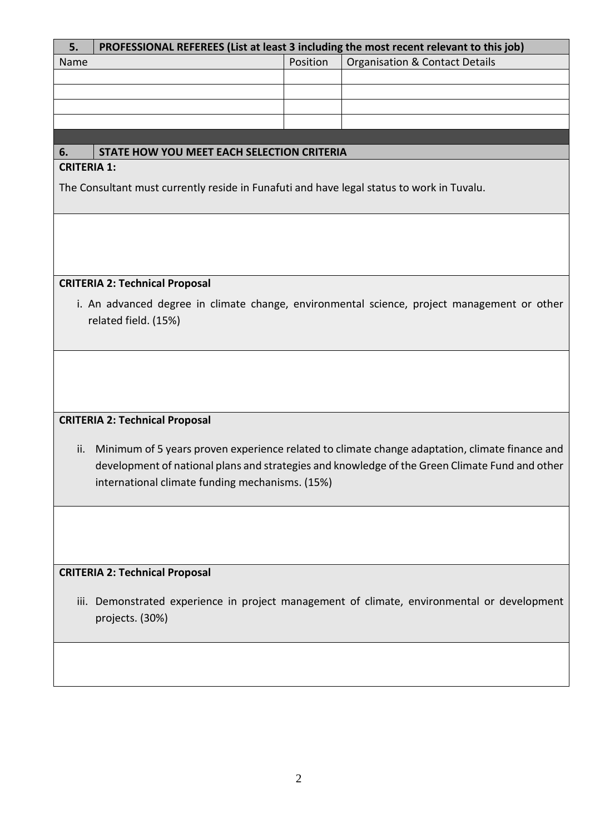| 5.                                                                                                                                                                                                                                                         | PROFESSIONAL REFEREES (List at least 3 including the most recent relevant to this job)    |          |                                                                                             |  |
|------------------------------------------------------------------------------------------------------------------------------------------------------------------------------------------------------------------------------------------------------------|-------------------------------------------------------------------------------------------|----------|---------------------------------------------------------------------------------------------|--|
| Name                                                                                                                                                                                                                                                       |                                                                                           | Position | <b>Organisation &amp; Contact Details</b>                                                   |  |
|                                                                                                                                                                                                                                                            |                                                                                           |          |                                                                                             |  |
|                                                                                                                                                                                                                                                            |                                                                                           |          |                                                                                             |  |
|                                                                                                                                                                                                                                                            |                                                                                           |          |                                                                                             |  |
|                                                                                                                                                                                                                                                            |                                                                                           |          |                                                                                             |  |
| 6.                                                                                                                                                                                                                                                         | STATE HOW YOU MEET EACH SELECTION CRITERIA                                                |          |                                                                                             |  |
| <b>CRITERIA 1:</b>                                                                                                                                                                                                                                         |                                                                                           |          |                                                                                             |  |
|                                                                                                                                                                                                                                                            | The Consultant must currently reside in Funafuti and have legal status to work in Tuvalu. |          |                                                                                             |  |
|                                                                                                                                                                                                                                                            |                                                                                           |          |                                                                                             |  |
|                                                                                                                                                                                                                                                            | <b>CRITERIA 2: Technical Proposal</b>                                                     |          |                                                                                             |  |
| i. An advanced degree in climate change, environmental science, project management or other<br>related field. (15%)                                                                                                                                        |                                                                                           |          |                                                                                             |  |
|                                                                                                                                                                                                                                                            |                                                                                           |          |                                                                                             |  |
|                                                                                                                                                                                                                                                            | <b>CRITERIA 2: Technical Proposal</b>                                                     |          |                                                                                             |  |
| Minimum of 5 years proven experience related to climate change adaptation, climate finance and<br>ii.<br>development of national plans and strategies and knowledge of the Green Climate Fund and other<br>international climate funding mechanisms. (15%) |                                                                                           |          |                                                                                             |  |
|                                                                                                                                                                                                                                                            |                                                                                           |          |                                                                                             |  |
| <b>CRITERIA 2: Technical Proposal</b>                                                                                                                                                                                                                      |                                                                                           |          |                                                                                             |  |
|                                                                                                                                                                                                                                                            | projects. (30%)                                                                           |          | iii. Demonstrated experience in project management of climate, environmental or development |  |
|                                                                                                                                                                                                                                                            |                                                                                           |          |                                                                                             |  |

# 2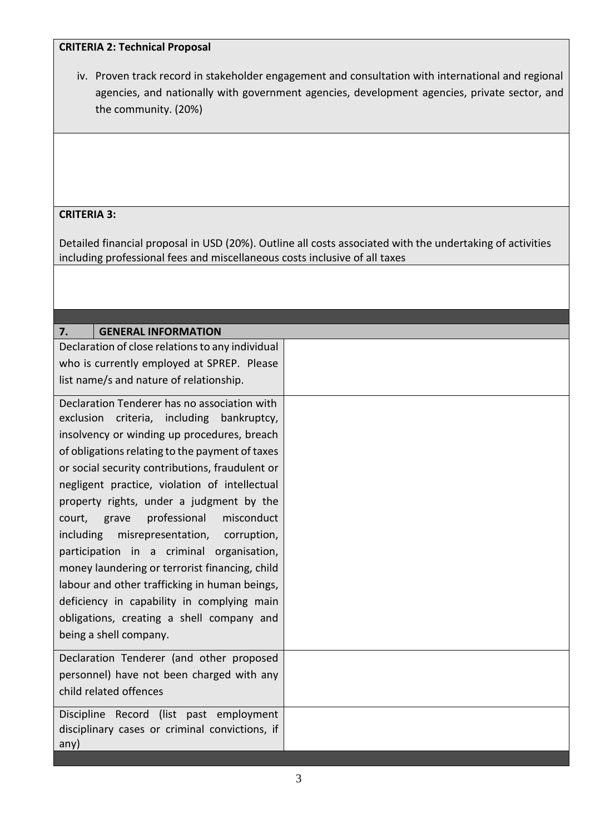#### **CRITERIA 2: Technical Proposal**

iv. Proven track record in stakeholder engagement and consultation with international and regional agencies, and nationally with government agencies, development agencies, private sector, and the community. (20%)

#### **CRITERIA 3:**

Detailed financial proposal in USD (20%). Outline all costs associated with the undertaking of activities including professional fees and miscellaneous costs inclusive of all taxes

| 7.<br><b>GENERAL INFORMATION</b>                 |  |
|--------------------------------------------------|--|
| Declaration of close relations to any individual |  |
| who is currently employed at SPREP. Please       |  |
| list name/s and nature of relationship.          |  |
| Declaration Tenderer has no association with     |  |
| exclusion criteria, including bankruptcy,        |  |
| insolvency or winding up procedures, breach      |  |
| of obligations relating to the payment of taxes  |  |
| or social security contributions, fraudulent or  |  |
| negligent practice, violation of intellectual    |  |
| property rights, under a judgment by the         |  |
| misconduct<br>professional<br>court,<br>grave    |  |
| including<br>misrepresentation,<br>corruption,   |  |
| participation in a criminal organisation,        |  |
| money laundering or terrorist financing, child   |  |
| labour and other trafficking in human beings,    |  |
| deficiency in capability in complying main       |  |
| obligations, creating a shell company and        |  |
| being a shell company.                           |  |
|                                                  |  |
| Declaration Tenderer (and other proposed         |  |
| personnel) have not been charged with any        |  |
| child related offences                           |  |
| Discipline Record (list past employment          |  |
| disciplinary cases or criminal convictions, if   |  |
| any)                                             |  |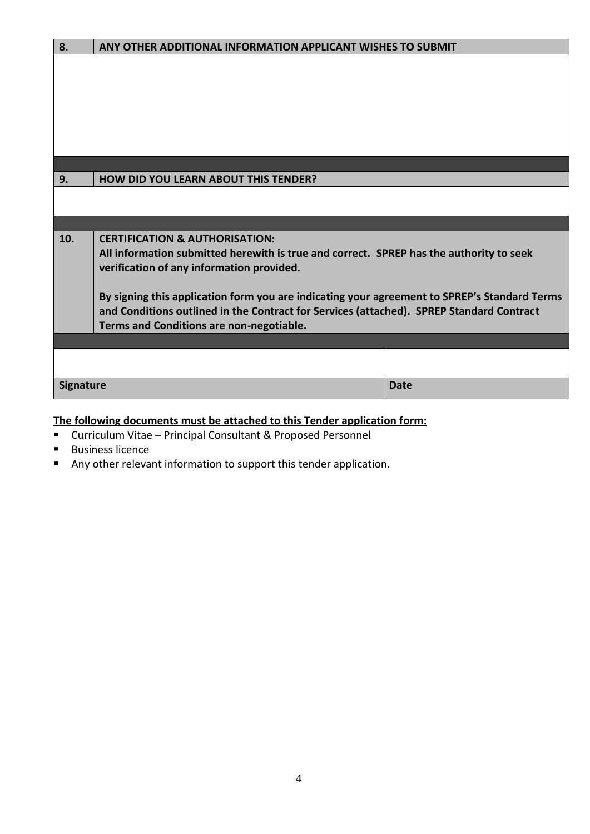| 8.               | ANY OTHER ADDITIONAL INFORMATION APPLICANT WISHES TO SUBMIT                                                                                                                              |             |  |  |
|------------------|------------------------------------------------------------------------------------------------------------------------------------------------------------------------------------------|-------------|--|--|
|                  |                                                                                                                                                                                          |             |  |  |
|                  |                                                                                                                                                                                          |             |  |  |
|                  |                                                                                                                                                                                          |             |  |  |
|                  |                                                                                                                                                                                          |             |  |  |
|                  |                                                                                                                                                                                          |             |  |  |
|                  |                                                                                                                                                                                          |             |  |  |
|                  |                                                                                                                                                                                          |             |  |  |
| 9.               | <b>HOW DID YOU LEARN ABOUT THIS TENDER?</b>                                                                                                                                              |             |  |  |
|                  |                                                                                                                                                                                          |             |  |  |
|                  |                                                                                                                                                                                          |             |  |  |
|                  |                                                                                                                                                                                          |             |  |  |
| 10.              | <b>CERTIFICATION &amp; AUTHORISATION:</b>                                                                                                                                                |             |  |  |
|                  | All information submitted herewith is true and correct. SPREP has the authority to seek                                                                                                  |             |  |  |
|                  | verification of any information provided.                                                                                                                                                |             |  |  |
|                  |                                                                                                                                                                                          |             |  |  |
|                  | By signing this application form you are indicating your agreement to SPREP's Standard Terms<br>and Conditions outlined in the Contract for Services (attached). SPREP Standard Contract |             |  |  |
|                  | Terms and Conditions are non-negotiable.                                                                                                                                                 |             |  |  |
|                  |                                                                                                                                                                                          |             |  |  |
|                  |                                                                                                                                                                                          |             |  |  |
|                  |                                                                                                                                                                                          |             |  |  |
| <b>Signature</b> |                                                                                                                                                                                          | <b>Date</b> |  |  |

# **The following documents must be attached to this Tender application form:**

- Curriculum Vitae Principal Consultant & Proposed Personnel
- Business licence
- Any other relevant information to support this tender application.